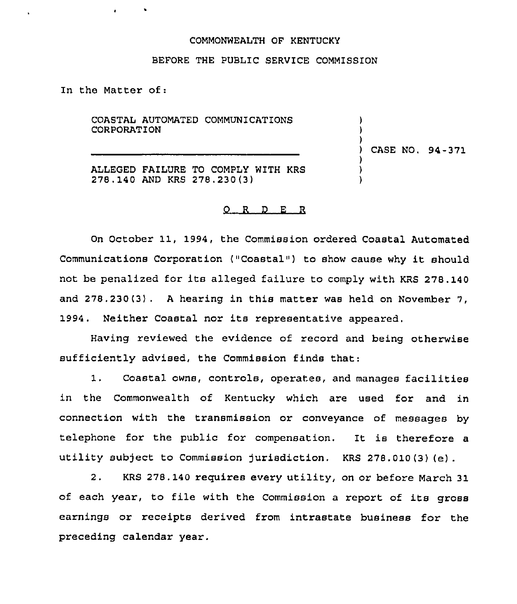## COMMONWEALTH OF KENTUCKY

## BEFORE THE PUBLIC SERVICE COMMISSION

In the Matter of:

COASTAL AUTOMATED COMMUNICATIONS CORPORATION ALLEGED FAILURE TO COMPLY WITH KRS 278.140 AND KRS 278.230(3) ) ) ) ) CASE NO. 94-371 ) ) )

## 0 <sup>R</sup> <sup>D</sup> E <sup>R</sup>

On October 11, 1994, the Commission ordered Coastal Automated Communications Corporation ("Coastal") to show cause why it should not be penalized for its alleged failure to comply with KRS 278. 140 and 278.230(3) . <sup>A</sup> hearing in this matter was held on November 7, 1994. Neither Coastal nor its representative appeared.

Having reviewed the evidence of record and being otherwise sufficiently advised, the Commission finds that:

1. Coastal owns, controls, operates, and manages facilities in the Commonwealth of Kentucky which are used for and in connection with the transmission or conveyance of messages by telephone for the public for compensation. It is therefore a utility subject to Commission jurisdiction. KRS 278.010(3) (e).

2. KRS 278,140 reguires every utility, on or before March 31 of each year, to file with the Commission <sup>a</sup> report of its gross earnings or receipts derived from intrastate business for the preceding calendar year.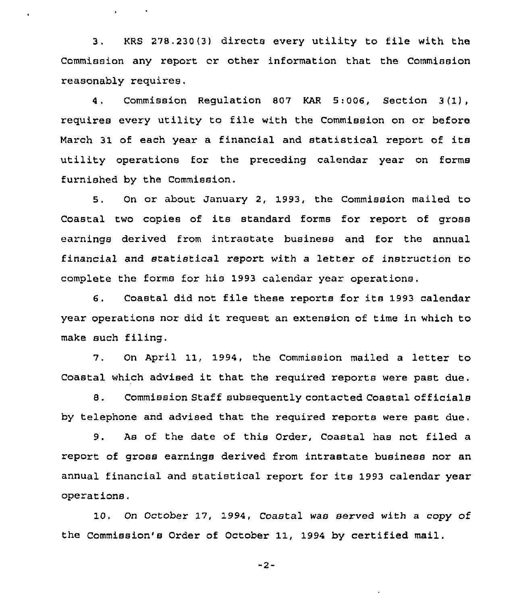3. KRS 278.230(3) directs every utility to file with the Commission any report cr other information that the Commission reasonably requires,

 $\mathbf{r} = \mathbf{r} \times \mathbf{r}$ 

4. Commission Regulation 807 KAR 5:006, Section 3(1), requires every utility to file with the Commission on or before March 31 of each year a financial and statistical report of its utility operations for the preceding calendar year on forms furnished by the Commission.

5. On or about January 2, 1993, the Commission mailed to Coastal two copies of its standard forms for report of gross earnings derived from intrastate business and for the annual financial and statistical report with a letter of instruction to complete the forms for his 1993 calendar year operations.

6. Coastal did not file these reports for its 1993 calendar year operations nor did it request an extension of time in which to make such filing.

7. On April 11, 1994, the Commission mailed <sup>a</sup> letter to Coastal which advised it that the required reports were past due.

8. Commission Staff subsequently contacted Coastal officials by telephone and advised that the required reports were past due.

9. As of the date of this Order, Coastal has not filed a report of gross earnings derived from intrastate business nor an annual financial and statistical report for its 1993 calendar year operations.

10. On October 17, 1994, Coastal was served with a copy of the Commission's Order of October 11, 1994 by certified mail.

-2-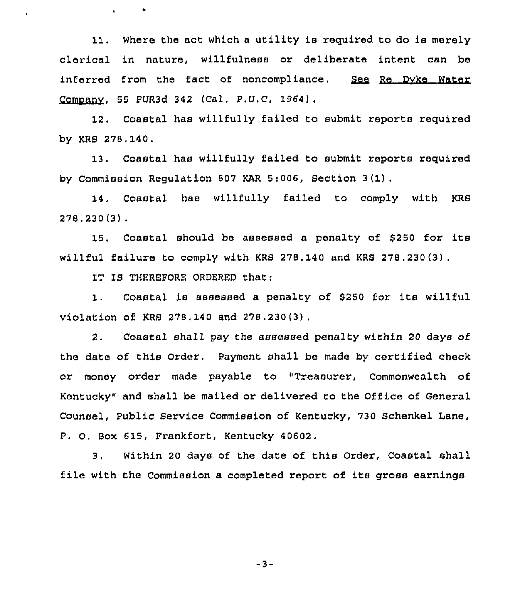11. Where the act which <sup>a</sup> utility is required to do is merely clerical in nature, willfulness or deliberate intent can be<br>inferred from the fact of noncompliance. <u>See Re Dyke Water</u> Comonnv, 55 PUR3d 342 (Cal. P.U,C. 1964).

12. Coastal has willfully failed to submit reports required by KRS 278.140,

13. Coastal has willfully failed to submit reports required by Commission Regulation 807 KAR 5:006, Section 3(1).

14, Coastal has willfully failed to comply with KRS 278.230(3),

15, Coastal should be assessed <sup>a</sup> penalty of 6250 for its willful failure to comply with KRS 278,140 and KRS 278.230 (3) .

IT IS THEREFORE ORDERED that;

1, Coastal is assessed <sup>a</sup> penalty of <sup>8250</sup> for its willful violation of KRS 278.140 and 278.230(3) .

2. Coastal shall pay the assessed penalty within 20 days of the date of this Order. Payment shall be made by certified check or money order made payable to "Treasurer, Commonwealth of Kentucky" and shall be mailed or delivered to the Office of General Counsel, Public Service Commission of Kentucky, 730 Schenkel Lane, P. O. Box 615, Frankfort, Kentucky 40602.

3. Within 20 days of the date of this Order, Coastal shall file with the Commission <sup>a</sup> completed report of its gross earnings

 $-3-$